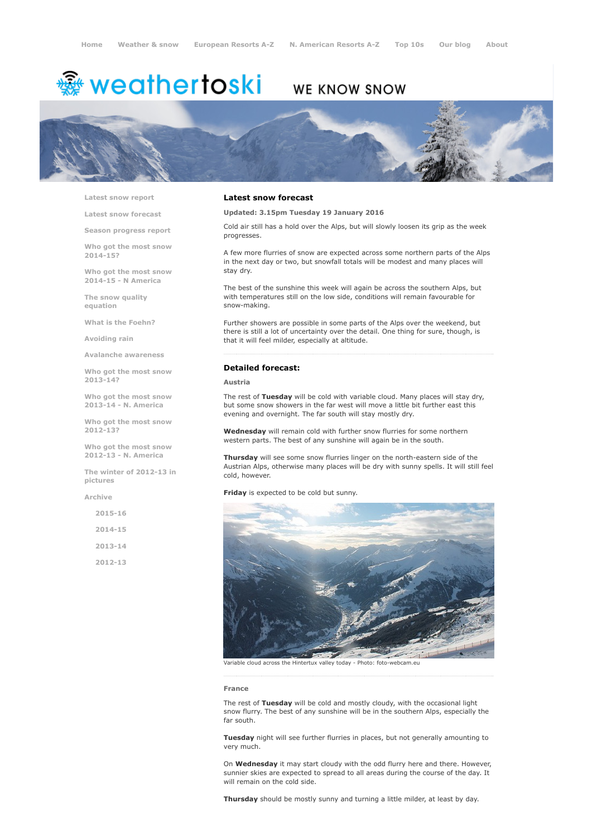# <del>鑾</del> weathertoski

# WE KNOW SNOW



Latest snow [report](http://www.weathertoski.co.uk/weather-snow/latest-snow-report/)

Latest snow [forecast](http://www.weathertoski.co.uk/weather-snow/latest-snow-forecast/)

Season [progress](http://www.weathertoski.co.uk/weather-snow/season-progress-report/) report

Who got the most snow 2014-15?

Who got the most snow 2014-15 - N America

The snow quality [equation](http://www.weathertoski.co.uk/weather-snow/the-snow-quality-equation/)

What is the [Foehn?](http://www.weathertoski.co.uk/weather-snow/what-is-the-foehn/)

[Avoiding](http://www.weathertoski.co.uk/weather-snow/avoiding-rain/) rain

Avalanche [awareness](http://www.weathertoski.co.uk/weather-snow/avalanche-awareness/)

Who got the most snow 2013-14?

Who got the most snow 2013-14 - N. America

Who got the most snow 2012-13?

Who got the most snow 2012-13 - N. America

The winter of 2012-13 in pictures

[Archive](http://www.weathertoski.co.uk/weather-snow/archive/)

 $2015 - 16$ 2014-15 2013-14 2012-13

#### Latest snow forecast

Updated: 3.15pm Tuesday 19 January 2016

Cold air still has a hold over the Alps, but will slowly loosen its grip as the week progresses.

A few more flurries of snow are expected across some northern parts of the Alps in the next day or two, but snowfall totals will be modest and many places will stay dry.

The best of the sunshine this week will again be across the southern Alps, but with temperatures still on the low side, conditions will remain favourable for snow-making.

Further showers are possible in some parts of the Alps over the weekend, but there is still a lot of uncertainty over the detail. One thing for sure, though, is that it will feel milder, especially at altitude.

## Detailed forecast:

#### Austria

The rest of Tuesday will be cold with variable cloud. Many places will stay dry, but some snow showers in the far west will move a little bit further east this evening and overnight. The far south will stay mostly dry.

Wednesday will remain cold with further snow flurries for some northern western parts. The best of any sunshine will again be in the south.

Thursday will see some snow flurries linger on the north-eastern side of the Austrian Alps, otherwise many places will be dry with sunny spells. It will still feel cold, however.

Friday is expected to be cold but sunny.



France

The rest of Tuesday will be cold and mostly cloudy, with the occasional light snow flurry. The best of any sunshine will be in the southern Alps, especially the far south.

Tuesday night will see further flurries in places, but not generally amounting to very much.

On **Wednesday** it may start cloudy with the odd flurry here and there. However, sunnier skies are expected to spread to all areas during the course of the day. It will remain on the cold side.

Thursday should be mostly sunny and turning a little milder, at least by day.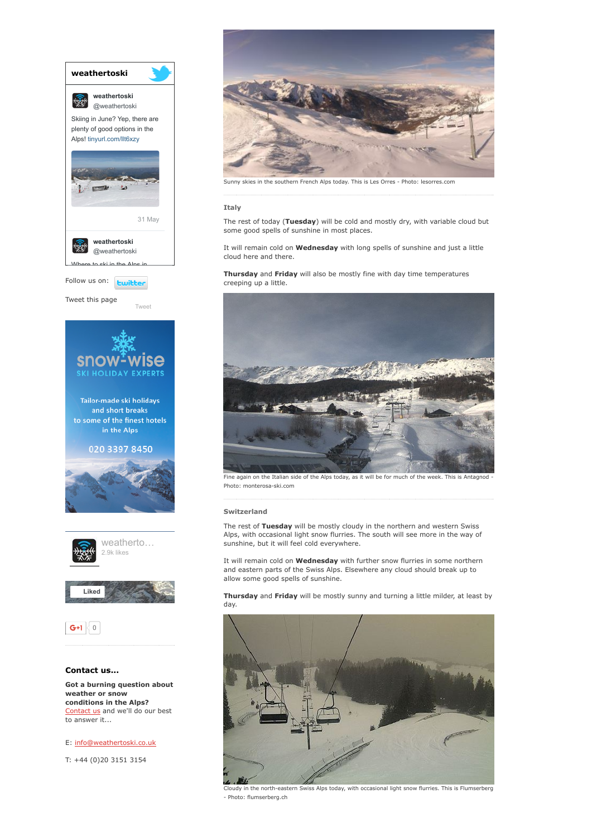

[Contact](http://www.weathertoski.co.uk/about-1/contact-us/) us and we'll do our best to answer it...

E: [info@weathertoski.co.uk](mailto:fraser@weathertoski.co.uk)

T: +44 (0)20 3151 3154



Sunny skies in the southern French Alps today. This is Les Orres Photo: lesorres.com

#### Italy

The rest of today (Tuesday) will be cold and mostly dry, with variable cloud but some good spells of sunshine in most places.

It will remain cold on **Wednesday** with long spells of sunshine and just a little cloud here and there.

Thursday and Friday will also be mostly fine with day time temperatures creeping up a little.



Fine again on the Italian side of the Alps today, as it will be for much of the week. This is Antagnod Photo: monterosa-ski.com

#### Switzerland

The rest of Tuesday will be mostly cloudy in the northern and western Swiss Alps, with occasional light snow flurries. The south will see more in the way of sunshine, but it will feel cold everywhere.

It will remain cold on Wednesday with further snow flurries in some northern and eastern parts of the Swiss Alps. Elsewhere any cloud should break up to allow some good spells of sunshine.

Thursday and Friday will be mostly sunny and turning a little milder, at least by day.



Cloudy in the north-eastern Swiss Alps today, with occasional light snow flurries. This is Flumserberg Photo: flumserberg.ch